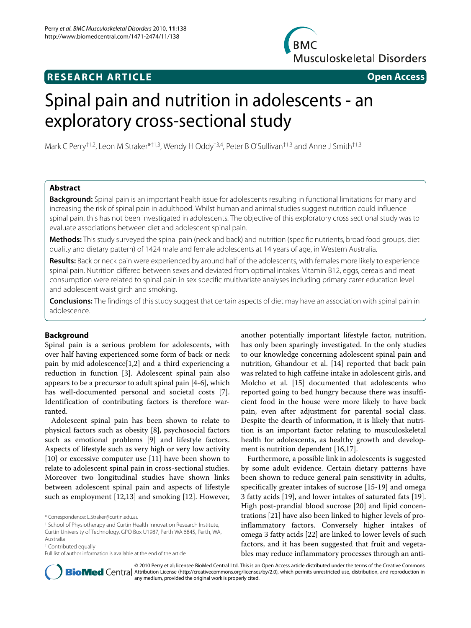# **RESEARCH ARTICLE Open Access**

**BMC Musculoskeletal Disorders** 

# Spinal pain and nutrition in adolescents - an exploratory cross-sectional study

Mark C Perry<sup>†1,2</sup>, Leon M Straker<sup>\*†1,3</sup>, Wendy H Oddy<sup>†3,4</sup>, Peter B O'Sullivan<sup>†1,3</sup> and Anne J Smith<sup>†1,3</sup>

# **Abstract**

**Background:** Spinal pain is an important health issue for adolescents resulting in functional limitations for many and increasing the risk of spinal pain in adulthood. Whilst human and animal studies suggest nutrition could influence spinal pain, this has not been investigated in adolescents. The objective of this exploratory cross sectional study was to evaluate associations between diet and adolescent spinal pain.

**Methods:** This study surveyed the spinal pain (neck and back) and nutrition (specific nutrients, broad food groups, diet quality and dietary pattern) of 1424 male and female adolescents at 14 years of age, in Western Australia.

**Results:** Back or neck pain were experienced by around half of the adolescents, with females more likely to experience spinal pain. Nutrition differed between sexes and deviated from optimal intakes. Vitamin B12, eggs, cereals and meat consumption were related to spinal pain in sex specific multivariate analyses including primary carer education level and adolescent waist girth and smoking.

**Conclusions:** The findings of this study suggest that certain aspects of diet may have an association with spinal pain in adolescence.

## **Background**

Spinal pain is a serious problem for adolescents, with over half having experienced some form of back or neck pain by mid adolescence[\[1](#page-7-0)[,2](#page-7-1)] and a third experiencing a reduction in function [\[3](#page-7-2)]. Adolescent spinal pain also appears to be a precursor to adult spinal pain [[4-](#page-7-3)[6](#page-7-4)], which has well-documented personal and societal costs [\[7](#page-7-5)]. Identification of contributing factors is therefore warranted.

Adolescent spinal pain has been shown to relate to physical factors such as obesity [[8\]](#page-7-6), psychosocial factors such as emotional problems [\[9\]](#page-7-7) and lifestyle factors. Aspects of lifestyle such as very high or very low activity [[10\]](#page-7-8) or excessive computer use [\[11](#page-7-9)] have been shown to relate to adolescent spinal pain in cross-sectional studies. Moreover two longitudinal studies have shown links between adolescent spinal pain and aspects of lifestyle such as employment [\[12,](#page-7-10)[13\]](#page-7-11) and smoking [[12\]](#page-7-10). However,

Australia

† Contributed equally

another potentially important lifestyle factor, nutrition, has only been sparingly investigated. In the only studies to our knowledge concerning adolescent spinal pain and nutrition, Ghandour et al. [[14](#page-7-12)] reported that back pain was related to high caffeine intake in adolescent girls, and Molcho et al. [\[15](#page-7-13)] documented that adolescents who reported going to bed hungry because there was insufficient food in the house were more likely to have back pain, even after adjustment for parental social class. Despite the dearth of information, it is likely that nutrition is an important factor relating to musculoskeletal health for adolescents, as healthy growth and development is nutrition dependent [\[16](#page-7-14)[,17](#page-7-15)].

Furthermore, a possible link in adolescents is suggested by some adult evidence. Certain dietary patterns have been shown to reduce general pain sensitivity in adults, specifically greater intakes of sucrose [\[15-](#page-7-13)[19](#page-7-16)] and omega 3 fatty acids [[19](#page-7-16)], and lower intakes of saturated fats [\[19](#page-7-16)]. High post-prandial blood sucrose [[20\]](#page-7-17) and lipid concentrations [[21\]](#page-7-18) have also been linked to higher levels of proinflammatory factors. Conversely higher intakes of omega 3 fatty acids [[22\]](#page-7-19) are linked to lower levels of such factors, and it has been suggested that fruit and vegetables may reduce inflammatory processes through an anti-



© 2010 Perry et al; licensee BioMed Central Ltd. This is an Open Access article distributed under the terms of the Creative Commons **Bio Med Centra** Attribution License (http://creativecommons.org/licenses/by/2.0), which permits unrestricted use, distribution, and reproduction in any medium, provided the original work is properly cited.

<sup>\*</sup> Correspondence: L.Straker@curtin.edu.au

<sup>1</sup> School of Physiotherapy and Curtin Health Innovation Research Institute, Curtin University of Technology, GPO Box U1987, Perth WA 6845, Perth, WA,

Full list of author information is available at the end of the article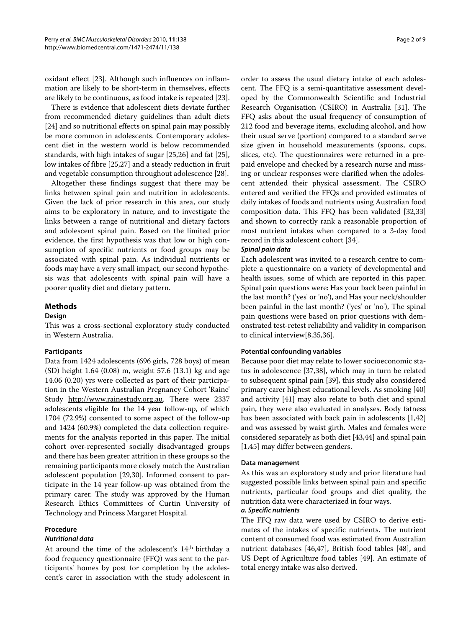oxidant effect [[23](#page-7-20)]. Although such influences on inflammation are likely to be short-term in themselves, effects are likely to be continuous, as food intake is repeated [\[23](#page-7-20)].

There is evidence that adolescent diets deviate further from recommended dietary guidelines than adult diets [[24\]](#page-7-21) and so nutritional effects on spinal pain may possibly be more common in adolescents. Contemporary adolescent diet in the western world is below recommended standards, with high intakes of sugar [\[25](#page-7-22)[,26](#page-7-23)] and fat [\[25](#page-7-22)], low intakes of fibre [[25,](#page-7-22)[27\]](#page-7-24) and a steady reduction in fruit and vegetable consumption throughout adolescence [\[28\]](#page-7-25).

Altogether these findings suggest that there may be links between spinal pain and nutrition in adolescents. Given the lack of prior research in this area, our study aims to be exploratory in nature, and to investigate the links between a range of nutritional and dietary factors and adolescent spinal pain. Based on the limited prior evidence, the first hypothesis was that low or high consumption of specific nutrients or food groups may be associated with spinal pain. As individual nutrients or foods may have a very small impact, our second hypothesis was that adolescents with spinal pain will have a poorer quality diet and dietary pattern.

## **Methods**

#### **Design**

This was a cross-sectional exploratory study conducted in Western Australia.

## **Participants**

Data from 1424 adolescents (696 girls, 728 boys) of mean (SD) height 1.64 (0.08) m, weight 57.6 (13.1) kg and age 14.06 (0.20) yrs were collected as part of their participation in the Western Australian Pregnancy Cohort 'Raine' Study [http://www.rainestudy.org.au.](http://www.rainestudy.org.au) There were 2337 adolescents eligible for the 14 year follow-up, of which 1704 (72.9%) consented to some aspect of the follow-up and 1424 (60.9%) completed the data collection requirements for the analysis reported in this paper. The initial cohort over-represented socially disadvantaged groups and there has been greater attrition in these groups so the remaining participants more closely match the Australian adolescent population [\[29](#page-7-26)[,30](#page-7-27)]. Informed consent to participate in the 14 year follow-up was obtained from the primary carer. The study was approved by the Human Research Ethics Committees of Curtin University of Technology and Princess Margaret Hospital.

# **Procedure**

# *Nutritional data*

At around the time of the adolescent's 14th birthday a food frequency questionnaire (FFQ) was sent to the participants' homes by post for completion by the adolescent's carer in association with the study adolescent in

order to assess the usual dietary intake of each adolescent. The FFQ is a semi-quantitative assessment developed by the Commonwealth Scientific and Industrial Research Organisation (CSIRO) in Australia [\[31](#page-7-28)]. The FFQ asks about the usual frequency of consumption of 212 food and beverage items, excluding alcohol, and how their usual serve (portion) compared to a standard serve size given in household measurements (spoons, cups, slices, etc). The questionnaires were returned in a prepaid envelope and checked by a research nurse and missing or unclear responses were clarified when the adolescent attended their physical assessment. The CSIRO entered and verified the FFQs and provided estimates of daily intakes of foods and nutrients using Australian food composition data. This FFQ has been validated [\[32](#page-7-29),[33](#page-7-30)] and shown to correctly rank a reasonable proportion of most nutrient intakes when compared to a 3-day food record in this adolescent cohort [[34\]](#page-7-31).

## *Spinal pain data*

Each adolescent was invited to a research centre to complete a questionnaire on a variety of developmental and health issues, some of which are reported in this paper. Spinal pain questions were: Has your back been painful in the last month? ('yes' or 'no'), and Has your neck/shoulder been painful in the last month? ('yes' or 'no'), The spinal pain questions were based on prior questions with demonstrated test-retest reliability and validity in comparison to clinical interview[[8,](#page-7-6)[35,](#page-8-0)[36\]](#page-8-1).

## **Potential confounding variables**

Because poor diet may relate to lower socioeconomic status in adolescence [[37,](#page-8-2)[38\]](#page-8-3), which may in turn be related to subsequent spinal pain [\[39\]](#page-8-4), this study also considered primary carer highest educational levels. As smoking [[40](#page-8-5)] and activity [[41\]](#page-8-6) may also relate to both diet and spinal pain, they were also evaluated in analyses. Body fatness has been associated with back pain in adolescents [\[1](#page-7-0),[42](#page-8-7)] and was assessed by waist girth. Males and females were considered separately as both diet [[43,](#page-8-8)[44\]](#page-8-9) and spinal pain [[1,](#page-7-0)[45\]](#page-8-10) may differ between genders.

#### **Data management**

As this was an exploratory study and prior literature had suggested possible links between spinal pain and specific nutrients, particular food groups and diet quality, the nutrition data were characterized in four ways.

#### *a. Specific nutrients*

The FFQ raw data were used by CSIRO to derive estimates of the intakes of specific nutrients. The nutrient content of consumed food was estimated from Australian nutrient databases [\[46](#page-8-11)[,47](#page-8-12)], British food tables [\[48](#page-8-13)], and US Dept of Agriculture food tables [\[49](#page-8-14)]. An estimate of total energy intake was also derived.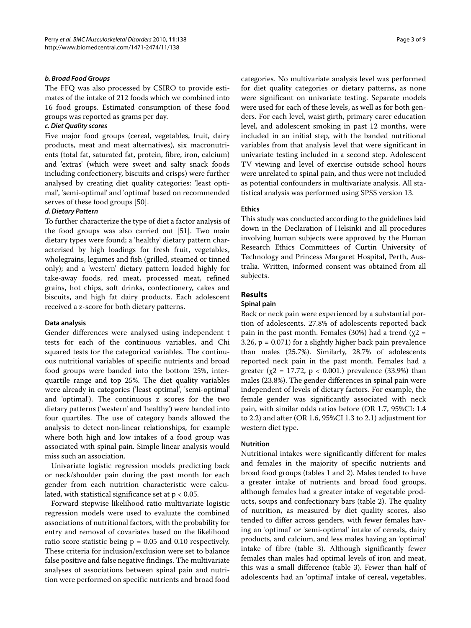#### *b. Broad Food Groups*

The FFQ was also processed by CSIRO to provide estimates of the intake of 212 foods which we combined into 16 food groups. Estimated consumption of these food groups was reported as grams per day.

#### *c. Diet Quality scores*

Five major food groups (cereal, vegetables, fruit, dairy products, meat and meat alternatives), six macronutrients (total fat, saturated fat, protein, fibre, iron, calcium) and 'extras' (which were sweet and salty snack foods including confectionery, biscuits and crisps) were further analysed by creating diet quality categories: 'least optimal', 'semi-optimal' and 'optimal' based on recommended serves of these food groups [[50\]](#page-8-15).

#### *d. Dietary Pattern*

To further characterize the type of diet a factor analysis of the food groups was also carried out [\[51](#page-8-16)]. Two main dietary types were found; a 'healthy' dietary pattern characterised by high loadings for fresh fruit, vegetables, wholegrains, legumes and fish (grilled, steamed or tinned only); and a 'western' dietary pattern loaded highly for take-away foods, red meat, processed meat, refined grains, hot chips, soft drinks, confectionery, cakes and biscuits, and high fat dairy products. Each adolescent received a z-score for both dietary patterns.

#### **Data analysis**

Gender differences were analysed using independent t tests for each of the continuous variables, and Chi squared tests for the categorical variables. The continuous nutritional variables of specific nutrients and broad food groups were banded into the bottom 25%, interquartile range and top 25%. The diet quality variables were already in categories ('least optimal', 'semi-optimal' and 'optimal'). The continuous z scores for the two dietary patterns ('western' and 'healthy') were banded into four quartiles. The use of category bands allowed the analysis to detect non-linear relationships, for example where both high and low intakes of a food group was associated with spinal pain. Simple linear analysis would miss such an association.

Univariate logistic regression models predicting back or neck/shoulder pain during the past month for each gender from each nutrition characteristic were calculated, with statistical significance set at  $p < 0.05$ .

Forward stepwise likelihood ratio multivariate logistic regression models were used to evaluate the combined associations of nutritional factors, with the probability for entry and removal of covariates based on the likelihood ratio score statistic being  $p = 0.05$  and 0.10 respectively. These criteria for inclusion/exclusion were set to balance false positive and false negative findings. The multivariate analyses of associations between spinal pain and nutrition were performed on specific nutrients and broad food

categories. No multivariate analysis level was performed for diet quality categories or dietary patterns, as none were significant on univariate testing. Separate models were used for each of these levels, as well as for both genders. For each level, waist girth, primary carer education level, and adolescent smoking in past 12 months, were included in an initial step, with the banded nutritional variables from that analysis level that were significant in univariate testing included in a second step. Adolescent TV viewing and level of exercise outside school hours were unrelated to spinal pain, and thus were not included as potential confounders in multivariate analysis. All statistical analysis was performed using SPSS version 13.

# **Ethics**

This study was conducted according to the guidelines laid down in the Declaration of Helsinki and all procedures involving human subjects were approved by the Human Research Ethics Committees of Curtin University of Technology and Princess Margaret Hospital, Perth, Australia. Written, informed consent was obtained from all subjects.

# **Results**

#### **Spinal pain**

Back or neck pain were experienced by a substantial portion of adolescents. 27.8% of adolescents reported back pain in the past month. Females (30%) had a trend ( $x^2$  = 3.26,  $p = 0.071$ ) for a slightly higher back pain prevalence than males (25.7%). Similarly, 28.7% of adolescents reported neck pain in the past month. Females had a greater ( $\chi$ 2 = 17.72,  $p < 0.001$ .) prevalence (33.9%) than males (23.8%). The gender differences in spinal pain were independent of levels of dietary factors. For example, the female gender was significantly associated with neck pain, with similar odds ratios before (OR 1.7, 95%CI: 1.4 to 2.2) and after (OR 1.6, 95%CI 1.3 to 2.1) adjustment for western diet type.

## **Nutrition**

Nutritional intakes were significantly different for males and females in the majority of specific nutrients and broad food groups (tables 1 and 2). Males tended to have a greater intake of nutrients and broad food groups, although females had a greater intake of vegetable products, soups and confectionary bars (table 2). The quality of nutrition, as measured by diet quality scores, also tended to differ across genders, with fewer females having an 'optimal' or 'semi-optimal' intake of cereals, dairy products, and calcium, and less males having an 'optimal' intake of fibre (table 3). Although significantly fewer females than males had optimal levels of iron and meat, this was a small difference (table 3). Fewer than half of adolescents had an 'optimal' intake of cereal, vegetables,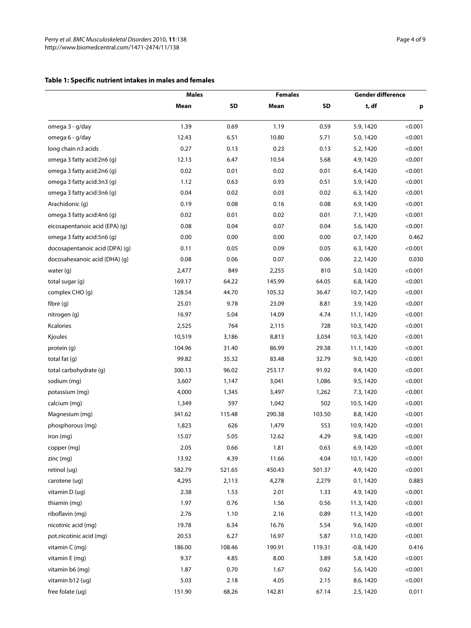# **Table 1: Specific nutrient intakes in males and females**

|                                | <b>Males</b> |           | <b>Females</b> |        | <b>Gender difference</b> |         |  |
|--------------------------------|--------------|-----------|----------------|--------|--------------------------|---------|--|
|                                | Mean         | <b>SD</b> | Mean           | SD     | t, df                    | p       |  |
|                                |              |           |                |        |                          |         |  |
| omega 3 - g/day                | 1.39         | 0.69      | 1.19           | 0.59   | 5.9, 1420                | < 0.001 |  |
| omega 6 - g/day                | 12.43        | 6.51      | 10.80          | 5.71   | 5.0, 1420                | < 0.001 |  |
| long chain n3 acids            | 0.27         | 0.13      | 0.23           | 0.13   | 5.2, 1420                | < 0.001 |  |
| omega 3 fatty acid:2n6 (g)     | 12.13        | 6.47      | 10.54          | 5.68   | 4.9, 1420                | < 0.001 |  |
| omega 3 fatty acid:2n6 (q)     | 0.02         | 0.01      | 0.02           | 0.01   | 6.4, 1420                | < 0.001 |  |
| omega 3 fatty acid:3n3 (g)     | 1.12         | 0.63      | 0.93           | 0.51   | 5.9, 1420                | < 0.001 |  |
| omega 3 fatty acid: 3n6 (q)    | 0.04         | 0.02      | 0.03           | 0.02   | 6.3, 1420                | < 0.001 |  |
| Arachidonic (q)                | 0.19         | 0.08      | 0.16           | 0.08   | 6.9, 1420                | < 0.001 |  |
| omega 3 fatty acid: 4n6 (g)    | 0.02         | 0.01      | 0.02           | 0.01   | 7.1, 1420                | < 0.001 |  |
| eicosapentanoic acid (EPA) (g) | 0.08         | 0.04      | 0.07           | 0.04   | 5.6, 1420                | < 0.001 |  |
| omega 3 fatty acid:5n6 (g)     | 0.00         | 0.00      | 0.00           | 0.00   | 0.7, 1420                | 0.462   |  |
| docosapentanoic acid (DPA) (q) | 0.11         | 0.05      | 0.09           | 0.05   | 6.3, 1420                | < 0.001 |  |
| docosahexanoic acid (DHA) (g)  | 0.08         | 0.06      | 0.07           | 0.06   | 2.2, 1420                | 0.030   |  |
| water $(g)$                    | 2,477        | 849       | 2,255          | 810    | 5.0, 1420                | < 0.001 |  |
| total sugar (g)                | 169.17       | 64.22     | 145.99         | 64.05  | 6.8, 1420                | < 0.001 |  |
| complex CHO (g)                | 128.54       | 44.70     | 105.32         | 36.47  | 10.7, 1420               | < 0.001 |  |
| fibre $(g)$                    | 25.01        | 9.78      | 23.09          | 8.81   | 3.9, 1420                | < 0.001 |  |
| nitrogen (g)                   | 16.97        | 5.04      | 14.09          | 4.74   | 11.1, 1420               | < 0.001 |  |
| Kcalories                      | 2,525        | 764       | 2,115          | 728    | 10.3, 1420               | < 0.001 |  |
| Kjoules                        | 10,519       | 3,186     | 8,813          | 3,034  | 10.3, 1420               | < 0.001 |  |
| protein (g)                    | 104.96       | 31.40     | 86.99          | 29.38  | 11.1, 1420               | < 0.001 |  |
| total fat $(q)$                | 99.82        | 35.32     | 83.48          | 32.79  | 9.0, 1420                | < 0.001 |  |
| total carbohydrate (g)         | 300.13       | 96.02     | 253.17         | 91.92  | 9.4, 1420                | < 0.001 |  |
| sodium (mg)                    | 3,607        | 1,147     | 3,041          | 1,086  | 9.5, 1420                | < 0.001 |  |
| potassium (mg)                 | 4,000        | 1,345     | 3,497          | 1,262  | 7.3, 1420                | < 0.001 |  |
| calcium (mg)                   | 1,349        | 597       | 1,042          | 502    | 10.5, 1420               | < 0.001 |  |
| Magnesium (mg)                 | 341.62       | 115.48    | 290.38         | 103.50 | 8.8, 1420                | < 0.001 |  |
| phosphorous (mg)               | 1,823        | 626       | 1,479          | 553    | 10.9, 1420               | < 0.001 |  |
| iron (mg)                      | 15.07        | 5.05      | 12.62          | 4.29   | 9.8, 1420                | < 0.001 |  |
| copper (mg)                    | 2.05         | 0.66      | 1.81           | 0.63   | 6.9, 1420                | < 0.001 |  |
| zinc (mg)                      | 13.92        | 4.39      | 11.66          | 4.04   | 10.1, 1420               | < 0.001 |  |
| retinol (ug)                   | 582.79       | 521.65    | 450.43         | 501.37 | 4.9, 1420                | < 0.001 |  |
| carotene (ug)                  | 4,295        | 2,113     | 4,278          | 2,279  | 0.1, 1420                | 0.883   |  |
| vitamin D (ug)                 | 2.38         | 1.53      | 2.01           | 1.33   | 4.9, 1420                | < 0.001 |  |
| thiamin (mg)                   | 1.97         | 0.76      | 1.56           | 0.56   | 11.3, 1420               | < 0.001 |  |
| riboflavin (mg)                | 2.76         | 1.10      | 2.16           | 0.89   | 11.3, 1420               | < 0.001 |  |
| nicotinic acid (mg)            | 19.78        | 6.34      | 16.76          | 5.54   | 9.6, 1420                | < 0.001 |  |
| pot.nicotinic acid (mg)        | 20.53        | 6.27      | 16.97          | 5.87   | 11.0, 1420               | < 0.001 |  |
|                                | 186.00       |           | 190.91         |        | $-0.8, 1420$             | 0.416   |  |
| vitamin $C$ (mg)               |              | 108.46    |                | 119.31 |                          |         |  |
| vitamin E (mg)                 | 9.37         | 4.85      | 8.00           | 3.89   | 5.8, 1420                | < 0.001 |  |
| vitamin b6 (mq)                | 1.87         | 0.70      | 1.67           | 0.62   | 5.6, 1420                | < 0.001 |  |
| vitamin b12 (ug)               | 5.03         | 2.18      | 4.05           | 2.15   | 8.6, 1420                | < 0.001 |  |
| free folate (ug)               | 151.90       | 68.26     | 142.81         | 67.14  | 2.5, 1420                | 0.011   |  |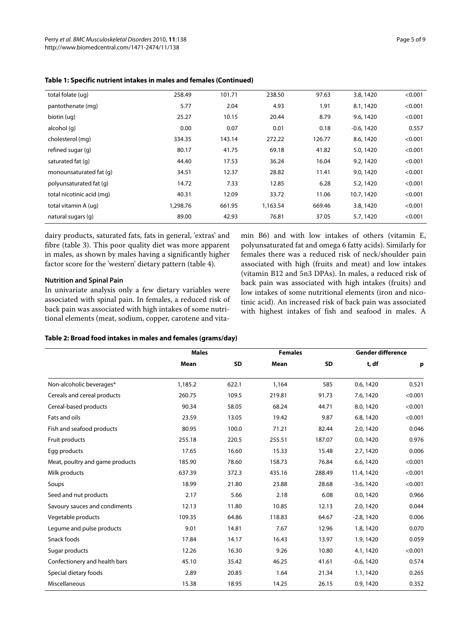| total folate (ug)         | 258.49   | 101.71 | 238.50   | 97.63  | 3.8, 1420    | < 0.001 |
|---------------------------|----------|--------|----------|--------|--------------|---------|
| pantothenate (mg)         | 5.77     | 2.04   | 4.93     | 1.91   | 8.1, 1420    | < 0.001 |
| biotin (ug)               | 25.27    | 10.15  | 20.44    | 8.79   | 9.6, 1420    | < 0.001 |
| alcohol (q)               | 0.00     | 0.07   | 0.01     | 0.18   | $-0.6, 1420$ | 0.557   |
| cholesterol (mg)          | 334.35   | 143.14 | 272.22   | 126.77 | 8.6, 1420    | < 0.001 |
| refined sugar (g)         | 80.17    | 41.75  | 69.18    | 41.82  | 5.0, 1420    | < 0.001 |
| saturated fat (q)         | 44.40    | 17.53  | 36.24    | 16.04  | 9.2, 1420    | < 0.001 |
| monounsaturated fat (q)   | 34.51    | 12.37  | 28.82    | 11.41  | 9.0, 1420    | < 0.001 |
| polyunsaturated fat (q)   | 14.72    | 7.33   | 12.85    | 6.28   | 5.2, 1420    | < 0.001 |
| total nicotinic acid (mg) | 40.31    | 12.09  | 33.72    | 11.06  | 10.7, 1420   | < 0.001 |
| total vitamin A (ug)      | 1,298.76 | 661.95 | 1,163.54 | 669.46 | 3.8, 1420    | < 0.001 |
| natural sugars (g)        | 89.00    | 42.93  | 76.81    | 37.05  | 5.7, 1420    | < 0.001 |

|  |  |  |  |  |  | Table 1: Specific nutrient intakes in males and females (Continued) |
|--|--|--|--|--|--|---------------------------------------------------------------------|
|--|--|--|--|--|--|---------------------------------------------------------------------|

dairy products, saturated fats, fats in general, 'extras' and fibre (table 3). This poor quality diet was more apparent in males, as shown by males having a significantly higher factor score for the 'western' dietary pattern (table [4](#page-5-0)).

#### **Nutrition and Spinal Pain**

In univariate analysis only a few dietary variables were associated with spinal pain. In females, a reduced risk of back pain was associated with high intakes of some nutritional elements (meat, sodium, copper, carotene and vitamin B6) and with low intakes of others (vitamin E, polyunsaturated fat and omega 6 fatty acids). Similarly for females there was a reduced risk of neck/shoulder pain associated with high (fruits and meat) and low intakes (vitamin B12 and 5n3 DPAs). In males, a reduced risk of back pain was associated with high intakes (fruits) and low intakes of some nutritional elements (iron and nicotinic acid). An increased risk of back pain was associated with highest intakes of fish and seafood in males. A

# **Table 2: Broad food intakes in males and females (grams/day)**

|                                 |         | <b>Males</b> |        | <b>Females</b> | <b>Gender difference</b> |         |  |
|---------------------------------|---------|--------------|--------|----------------|--------------------------|---------|--|
|                                 | Mean    | <b>SD</b>    | Mean   | <b>SD</b>      | t, df                    | p       |  |
| Non-alcoholic beverages*        | 1,185.2 | 622.1        | 1,164  | 585            | 0.6, 1420                | 0.521   |  |
| Cereals and cereal products     | 260.75  | 109.5        | 219.81 | 91.73          | 7.6, 1420                | < 0.001 |  |
| Cereal-based products           | 90.34   | 58.05        | 68.24  | 44.71          | 8.0, 1420                | < 0.001 |  |
| Fats and oils                   | 23.59   | 13.05        | 19.42  | 9.87           | 6.8, 1420                | < 0.001 |  |
| Fish and seafood products       | 80.95   | 100.0        | 71.21  | 82.44          | 2.0, 1420                | 0.046   |  |
| Fruit products                  | 255.18  | 220.5        | 255.51 | 187.07         | 0.0, 1420                | 0.976   |  |
| Egg products                    | 17.65   | 16.60        | 15.33  | 15.48          | 2.7, 1420                | 0.006   |  |
| Meat, poultry and game products | 185.90  | 78.60        | 158.73 | 76.84          | 6.6, 1420                | < 0.001 |  |
| Milk products                   | 637.39  | 372.3        | 435.16 | 288.49         | 11.4, 1420               | < 0.001 |  |
| Soups                           | 18.99   | 21.80        | 23.88  | 28.68          | $-3.6, 1420$             | < 0.001 |  |
| Seed and nut products           | 2.17    | 5.66         | 2.18   | 6.08           | 0.0, 1420                | 0.966   |  |
| Savoury sauces and condiments   | 12.13   | 11.80        | 10.85  | 12.13          | 2.0, 1420                | 0.044   |  |
| Vegetable products              | 109.35  | 64.86        | 118.83 | 64.67          | $-2.8, 1420$             | 0.006   |  |
| Legume and pulse products       | 9.01    | 14.81        | 7.67   | 12.96          | 1.8, 1420                | 0.070   |  |
| Snack foods                     | 17.84   | 14.17        | 16.43  | 13.97          | 1.9, 1420                | 0.059   |  |
| Sugar products                  | 12.26   | 16.30        | 9.26   | 10.80          | 4.1, 1420                | < 0.001 |  |
| Confectionery and health bars   | 45.10   | 35.42        | 46.25  | 41.61          | $-0.6, 1420$             | 0.574   |  |
| Special dietary foods           | 2.89    | 20.85        | 1.64   | 21.34          | 1.1, 1420                | 0.265   |  |
| Miscellaneous                   | 15.38   | 18.95        | 14.25  | 26.15          | 0.9, 1420                | 0.352   |  |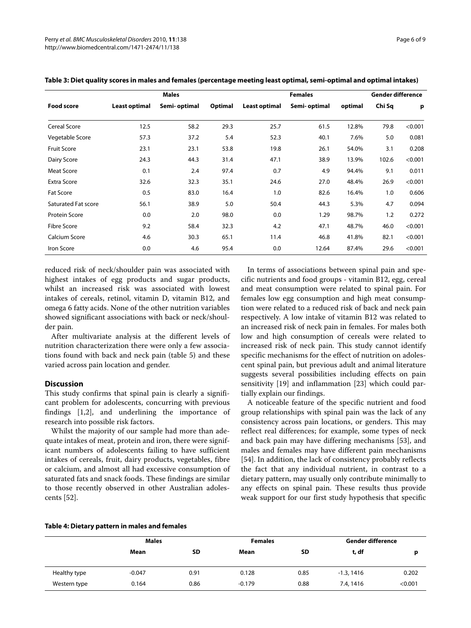| <b>Males</b>        |               |               |         | <b>Gender difference</b> |              |         |        |         |
|---------------------|---------------|---------------|---------|--------------------------|--------------|---------|--------|---------|
| <b>Food score</b>   | Least optimal | Semi- optimal | Optimal | <b>Least optimal</b>     | Semi-optimal | optimal | Chi Sq | p       |
| Cereal Score        | 12.5          | 58.2          | 29.3    | 25.7                     | 61.5         | 12.8%   | 79.8   | < 0.001 |
| Vegetable Score     | 57.3          | 37.2          | 5.4     | 52.3                     | 40.1         | 7.6%    | 5.0    | 0.081   |
| <b>Fruit Score</b>  | 23.1          | 23.1          | 53.8    | 19.8                     | 26.1         | 54.0%   | 3.1    | 0.208   |
| Dairy Score         | 24.3          | 44.3          | 31.4    | 47.1                     | 38.9         | 13.9%   | 102.6  | < 0.001 |
| Meat Score          | 0.1           | 2.4           | 97.4    | 0.7                      | 4.9          | 94.4%   | 9.1    | 0.011   |
| <b>Extra Score</b>  | 32.6          | 32.3          | 35.1    | 24.6                     | 27.0         | 48.4%   | 26.9   | < 0.001 |
| <b>Fat Score</b>    | 0.5           | 83.0          | 16.4    | 1.0                      | 82.6         | 16.4%   | 1.0    | 0.606   |
| Saturated Fat score | 56.1          | 38.9          | 5.0     | 50.4                     | 44.3         | 5.3%    | 4.7    | 0.094   |
| Protein Score       | 0.0           | 2.0           | 98.0    | 0.0                      | 1.29         | 98.7%   | 1.2    | 0.272   |
| <b>Fibre Score</b>  | 9.2           | 58.4          | 32.3    | 4.2                      | 47.1         | 48.7%   | 46.0   | < 0.001 |
| Calcium Score       | 4.6           | 30.3          | 65.1    | 11.4                     | 46.8         | 41.8%   | 82.1   | < 0.001 |
| Iron Score          | 0.0           | 4.6           | 95.4    | 0.0                      | 12.64        | 87.4%   | 29.6   | < 0.001 |

# **Table 3: Diet quality scores in males and females (percentage meeting least optimal, semi-optimal and optimal intakes)**

reduced risk of neck/shoulder pain was associated with highest intakes of egg products and sugar products, whilst an increased risk was associated with lowest intakes of cereals, retinol, vitamin D, vitamin B12, and omega 6 fatty acids. None of the other nutrition variables showed significant associations with back or neck/shoulder pain.

After multivariate analysis at the different levels of nutrition characterization there were only a few associations found with back and neck pain (table [5](#page-6-0)) and these varied across pain location and gender.

#### **Discussion**

This study confirms that spinal pain is clearly a significant problem for adolescents, concurring with previous findings [[1](#page-7-0)[,2](#page-7-1)], and underlining the importance of research into possible risk factors.

Whilst the majority of our sample had more than adequate intakes of meat, protein and iron, there were significant numbers of adolescents failing to have sufficient intakes of cereals, fruit, dairy products, vegetables, fibre or calcium, and almost all had excessive consumption of saturated fats and snack foods. These findings are similar to those recently observed in other Australian adolescents [[52](#page-8-17)].

In terms of associations between spinal pain and specific nutrients and food groups - vitamin B12, egg, cereal and meat consumption were related to spinal pain. For females low egg consumption and high meat consumption were related to a reduced risk of back and neck pain respectively. A low intake of vitamin B12 was related to an increased risk of neck pain in females. For males both low and high consumption of cereals were related to increased risk of neck pain. This study cannot identify specific mechanisms for the effect of nutrition on adolescent spinal pain, but previous adult and animal literature suggests several possibilities including effects on pain sensitivity [[19](#page-7-16)] and inflammation [\[23](#page-7-20)] which could partially explain our findings.

A noticeable feature of the specific nutrient and food group relationships with spinal pain was the lack of any consistency across pain locations, or genders. This may reflect real differences; for example, some types of neck and back pain may have differing mechanisms [[53\]](#page-8-18), and males and females may have different pain mechanisms [[54\]](#page-8-19). In addition, the lack of consistency probably reflects the fact that any individual nutrient, in contrast to a dietary pattern, may usually only contribute minimally to any effects on spinal pain. These results thus provide weak support for our first study hypothesis that specific

#### <span id="page-5-0"></span>**Table 4: Dietary pattern in males and females**

|              | <b>Males</b> |           | <b>Females</b> |           | <b>Gender difference</b> |         |
|--------------|--------------|-----------|----------------|-----------|--------------------------|---------|
|              | Mean         | <b>SD</b> | Mean           | <b>SD</b> | t, df                    | D       |
| Healthy type | $-0.047$     | 0.91      | 0.128          | 0.85      | $-1.3, 1416$             | 0.202   |
| Western type | 0.164        | 0.86      | $-0.179$       | 0.88      | 7.4, 1416                | < 0.001 |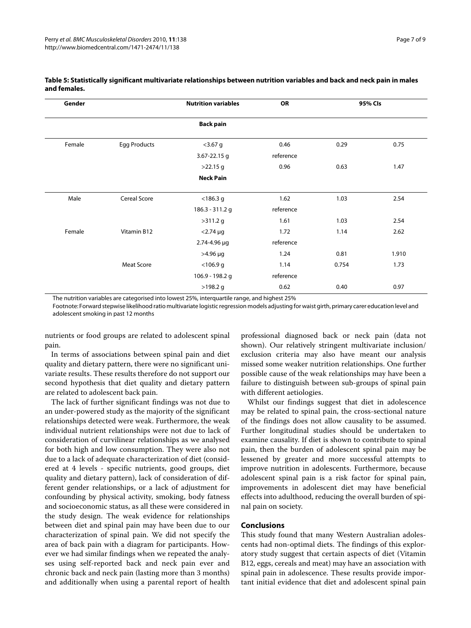| Gender | <b>Nutrition variables</b> |                  | <b>OR</b> |       | 95% Cls |
|--------|----------------------------|------------------|-----------|-------|---------|
|        |                            | <b>Back pain</b> |           |       |         |
| Female | Egg Products               | $<$ 3.67 g       | 0.46      | 0.29  | 0.75    |
|        |                            | 3.67-22.15 g     | reference |       |         |
|        |                            | $>22.15$ g       | 0.96      | 0.63  | 1.47    |
|        |                            | <b>Neck Pain</b> |           |       |         |
| Male   | Cereal Score               | $<$ 186.3 g      | 1.62      | 1.03  | 2.54    |
|        |                            | 186.3 - 311.2 g  | reference |       |         |
|        |                            | >311.2 g         | 1.61      | 1.03  | 2.54    |
| Female | Vitamin B12                | $<$ 2.74 $\mu$ g | 1.72      | 1.14  | 2.62    |
|        |                            | 2.74-4.96 µg     | reference |       |         |
|        |                            | $>4.96 \mu g$    | 1.24      | 0.81  | 1.910   |
|        | <b>Meat Score</b>          | $<$ 106.9 g      | 1.14      | 0.754 | 1.73    |
|        |                            | 106.9 - 198.2 g  | reference |       |         |
|        |                            | $>198.2$ g       | 0.62      | 0.40  | 0.97    |

#### <span id="page-6-0"></span>**Table 5: Statistically significant multivariate relationships between nutrition variables and back and neck pain in males and females.**

The nutrition variables are categorised into lowest 25%, interquartile range, and highest 25%

Footnote: Forward stepwise likelihood ratio multivariate logistic regression models adjusting for waist girth, primary carer education level and adolescent smoking in past 12 months

nutrients or food groups are related to adolescent spinal pain.

In terms of associations between spinal pain and diet quality and dietary pattern, there were no significant univariate results. These results therefore do not support our second hypothesis that diet quality and dietary pattern are related to adolescent back pain.

The lack of further significant findings was not due to an under-powered study as the majority of the significant relationships detected were weak. Furthermore, the weak individual nutrient relationships were not due to lack of consideration of curvilinear relationships as we analysed for both high and low consumption. They were also not due to a lack of adequate characterization of diet (considered at 4 levels - specific nutrients, good groups, diet quality and dietary pattern), lack of consideration of different gender relationships, or a lack of adjustment for confounding by physical activity, smoking, body fatness and socioeconomic status, as all these were considered in the study design. The weak evidence for relationships between diet and spinal pain may have been due to our characterization of spinal pain. We did not specify the area of back pain with a diagram for participants. However we had similar findings when we repeated the analyses using self-reported back and neck pain ever and chronic back and neck pain (lasting more than 3 months) and additionally when using a parental report of health

professional diagnosed back or neck pain (data not shown). Our relatively stringent multivariate inclusion/ exclusion criteria may also have meant our analysis missed some weaker nutrition relationships. One further possible cause of the weak relationships may have been a failure to distinguish between sub-groups of spinal pain with different aetiologies.

Whilst our findings suggest that diet in adolescence may be related to spinal pain, the cross-sectional nature of the findings does not allow causality to be assumed. Further longitudinal studies should be undertaken to examine causality. If diet is shown to contribute to spinal pain, then the burden of adolescent spinal pain may be lessened by greater and more successful attempts to improve nutrition in adolescents. Furthermore, because adolescent spinal pain is a risk factor for spinal pain, improvements in adolescent diet may have beneficial effects into adulthood, reducing the overall burden of spinal pain on society.

#### **Conclusions**

This study found that many Western Australian adolescents had non-optimal diets. The findings of this exploratory study suggest that certain aspects of diet (Vitamin B12, eggs, cereals and meat) may have an association with spinal pain in adolescence. These results provide important initial evidence that diet and adolescent spinal pain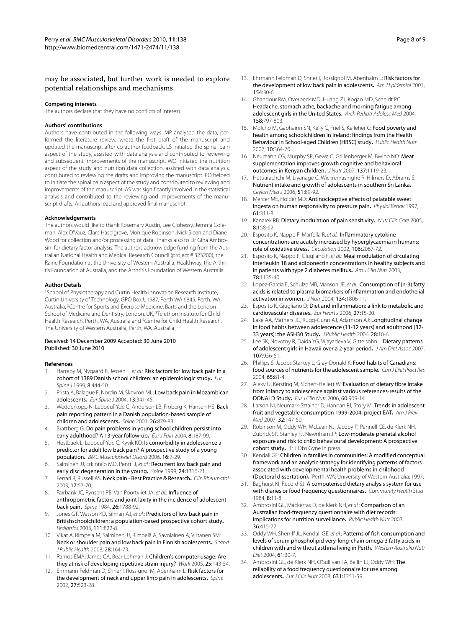#### may be associated, but further work is needed to explore potential relationships and mechanisms.

#### **Competing interests**

The authors declare that they have no conflicts of interest.

#### **Authors' contributions**

Authors have contributed in the following ways: MP analysed the data, performed the literature review, wrote the first draft of the manuscript and updated the manuscript after co-author feedback. LS initiated the spinal pain aspect of the study, assisted with data analysis and contributed to reviewing and subsequent improvements of the manuscript. WO initiated the nutrition aspect of the study and nutrition data collection, assisted with data analysis, contributed to reviewing the drafts and improving the manuscript. PO helped to initiate the spinal pain aspect of the study and contributed to reviewing and improvements of the manuscript. AS was significantly involved in the statistical analysis and contributed to the reviewing and improvements of the manuscript drafts. All authors read and approved final manuscript.

#### **Acknowledgements**

The authors would like to thank Rosemary Austin, Lee Clohessy, Jemma Coleman, Alex D'Vauz, Clare Haselgrove, Monique Robinson, Nick Sloan and Diane Wood for collection and/or processing of data. Thanks also to Dr Gina Ambrosini for dietary factor analysis. The authors acknowledge funding from the Australian National Health and Medical Research Council (project # 323200), the Raine Foundation at the University of Western Australia, Healthway, the Arthritis Foundation of Australia, and the Arthritis Foundation of Western Australia.

#### **Author Details**

1School of Physiotherapy and Curtin Health Innovation Research Institute, Curtin University of Technology, GPO Box U1987, Perth WA 6845, Perth, WA, Australia, 2Centre for Sports and Exercise Medicine, Barts and the London School of Medicine and Dentistry, London, UK, 3Telethon Institute for Child Health Research, Perth, WA, Australia and 4Centre for Child Health Research, The University of Western Australia, Perth, WA, Australia

#### Received: 14 December 2009 Accepted: 30 June 2010 Published: 30 June 2010

#### **References**

- <span id="page-7-0"></span>1. Harreby M, Nygaard B, Jessen T, et al.: Risk factors for low back pain in a cohort of 1389 Danish school children: an epidemiologic study**.** Eur Spine 11999 8:444-50.
- <span id="page-7-1"></span>2. Prista A, Balague F, Nordin M, Skovron ML: Low back pain in Mozambican adolescents**.** Eur Spine J 2004, 13:341-45.
- <span id="page-7-2"></span>3. Wedderkopp N, Leboeuf-Yde C, Andersen LB, Froberg K, Hansen HS: Back pain reporting pattern in a Danish population-based sample of children and adolescents**.** Spine 2001, 26:879-83.
- <span id="page-7-3"></span>4. Brattberg G: Do pain problems in young school children persist into early adulthood? A 13-year follow-up**.** Eur J Pain 2004, 8:187-99.
- 5. Hestbaek L, Leboeuf-Yde C, Kyvik KO: Is comorbidity in adolescence a predictor for adult low back pain? A prospective study of a young population**.** BMC Musculoskelet Disord 2006, 16:7-29.
- <span id="page-7-4"></span>Salminen JJ, Erkintalo MO, Pentti J, et al.: Recurrent low back pain and early disc degeneration in the young**.** Spine 1999, 24:1316-21.
- <span id="page-7-5"></span>7. Ferrari R, Russell AS: Neck pain - Best Practice & Research**.** Clin Rheumatol 2003, 17:57-70.
- <span id="page-7-6"></span>8. Fairbank JC, Pynsent PB, Van Poortvliet JA, et al.: Influence of anthropometric factors and joint laxity in the incidence of adolescent back pain**.** Spine 1984, 26:1788-92.
- <span id="page-7-7"></span>9. Jones GT, Watson KD, Silman AJ, et al.: Predictors of low back pain in Britishschoolchildren: a population-based prospective cohort study**.** Pediatrics 2003, 111:822-8.
- <span id="page-7-8"></span>10. Vikat A, Rimpela M, Salminen JJ, Rimpelä A, Savolainen A, Virtanen SM: Neck or shoulder pain and low back pain in Finnish adolescents**.** Scand J Public Health 2008, 28:164-73.
- <span id="page-7-9"></span>11. Ramos EMA, James CA, Bear-Lehman J: Children's computer usage: Are they at risk of developing repetitive strain injury? Work 2005, 25:143-54.
- <span id="page-7-10"></span>12. Ehrmann Feldman D, Shrier I, Rossignol M, Abenhaim L: Risk factors for the development of neck and upper limb pain in adolescents**.** Spine 2002, 27:523-28.
- <span id="page-7-11"></span>13. Ehrmann Feldman D, Shrier I, Rossignol M, Abenhaim L: Risk factors for the development of low back pain in adolescents**[.](http://www.ncbi.nlm.nih.gov/entrez/query.fcgi?cmd=Retrieve&db=PubMed&dopt=Abstract&list_uids=11427402)** Am J Epidemiol 2001, 154:30-6.
- <span id="page-7-12"></span>14. Ghandour RM, Overpeck MD, Huang ZJ, Kogan MD, Scheidt PC: Headache, stomach ache, backache and morning fatigue among adolescent girls in the United States**.** Arch Pediatr Adolesc Med 2004, 158:797-803.
- <span id="page-7-13"></span>15. Molcho M, Gabhainn SN, Kelly C, Friel S, Kelleher C: Food poverty and health among schoolchildren in Ireland: findings from the Health Behaviour in School-aged Children (HBSC) study**.** Public Health Nutr 2007, 10:364-70.
- <span id="page-7-14"></span>16. Neumann CG, Murphy SP, Gewa C, Grillenberger M, Bwibo NO: Meat supplementation improves growth cognitive and behavioral outcomes in Kenyan children**.** J Nutr 2007, 137:1119-23.
- <span id="page-7-15"></span>17. Hettiarachchi M, Liyanage C, Wickremasinghe R, Hilmers D, Abrams S: Nutrient intake and growth of adolescents in southern Sri Lanka**.** Ceylon Med J 2006, 51:89-92.
- 18. Mercer ME, Holder MD: Antinociceptive effects of palatable sweet ingesta on human responsivity to pressure pain**[.](http://www.ncbi.nlm.nih.gov/entrez/query.fcgi?cmd=Retrieve&db=PubMed&dopt=Abstract&list_uids=9035263)** Physiol Behav 1997, 61:311-8.
- <span id="page-7-16"></span>19. Kanarek RB: Dietary modulation of pain sensitivity**.** Nutr Clin Care 2005, 8:158-62.
- <span id="page-7-17"></span>20. Esposito K, Nappo F, Marfella R, et al.: Inflammatory cytokine concentrations are acutely increased by hyperglycaemia in humans: role of oxidative stress**.** Circulation 2002, 106:2067-72.
- <span id="page-7-18"></span>21. Esposito K, Nappo F, Giugliano F, et al.: Meal modulation of circulating interleukin 18 and adiponectin concentrations in healthy subjects and in patients with type 2 diabetes mellitus**.** Am J Clin Nutr 2003, 78:1135-40.
- <span id="page-7-19"></span>22. Lopez-Garcia E, Schulze MB, Manson JE, et al.: Consumption of (n-3) fatty acids is related to plasma biomarkers of inflammation and endothelial activation in women**[.](http://www.ncbi.nlm.nih.gov/entrez/query.fcgi?cmd=Retrieve&db=PubMed&dopt=Abstract&list_uids=15226473)** J Nutr 2004, 134:1806-11.
- <span id="page-7-20"></span>23. Esposito K, Giugliano D: Diet and inflammation: a link to metabolic and cardiovascular diseases**.** Eur Heart J 2006, 27:15-20.
- <span id="page-7-21"></span>24. Lake AA, Mathers JC, Rugg-Gunn AJ, Adamson AJ: Longitudinal change in food habits between adolescence (11-12 years) and adulthood (32- 33 years): the ASH30 Study**.** J Public Health 2006, 28:10-6.
- <span id="page-7-22"></span>25. Lee SK, Novotny R, Daida YG, Vijayadeva V, Gittelsohn J: Dietary patterns of adolescent girls in Hawaii over a 2-year period**.** J Am Diet Assoc 2007, 107:956-61.
- <span id="page-7-23"></span>26. Phillips S, Jacobs Starkey L, Gray-Donald K: Food habits of Canadians: food sources of nutrients for the adolescent sample**.** Can J Diet Pract Res 2004, 65:81-4.
- <span id="page-7-24"></span>27. Alexy U, Kersting M, Sichert-Hellert W: Evaluation of dietary fibre intake from infancy to adolescence against various references-results of the DONALD Study**.** Eur J Clin Nutr 2006, 60:909-14.
- <span id="page-7-25"></span>28. Larson NI, Neumark-Sztainer D, Hannan PJ, Story M: Trends in adolescent fruit and vegetable consumption 1999-2004: project EAT**.** Am J Prev Med 2007, 32:147-50.
- <span id="page-7-26"></span>Robinson M, Oddy WH, McLean NJ, Jacoby P, Pennell CE, de Klerk NH, Zubrick SR, Stanley FJ, Newnham JP: Low-moderate prenatal alcohol exposure and risk to child behavioural development: A prospective cohort study**.** Br J Obs Gyne in press.
- <span id="page-7-27"></span>30. Kendall GE: Children in families in communities: A modified conceptual framework and an analytic strategy for identifying patterns of factors associated with developmental health problems in childhood (Doctoral dissertation)**.** Perth, WA: University of Western Australia; 1997.
- <span id="page-7-28"></span>31. Baghurst KI, Record SJ: A computerised dietary analysis system for use with diaries or food frequency questionnaires**.** Community Health Stud 1984, 8:11-8.
- <span id="page-7-29"></span>32. Ambrosini GL, Mackerras D, de Klerk NH, et al.: Comparison of an Australian food-frequency questionnaire with diet records: implications for nutrition surveillance**.** Public Health Nutr 2003, 36:415-22.
- <span id="page-7-30"></span>33. Oddy WH, Sherriff JL, Kendall GE, et al.: Patterns of fish consumption and levels of serum phospholipid very-long-chain omega-3 fatty acids in children with and without asthma living in Perth**.** Western Australia Nutr Diet 2004, 61:30-7.
- <span id="page-7-31"></span>34. Ambrosini GL, de Klerk NH, O'Sullivan TA, Beilin LJ, Oddy WH: The reliability of a food frequency questionnaire for use among adolescents**.** Eur J Clin Nutr 2008, 631:1251-59.